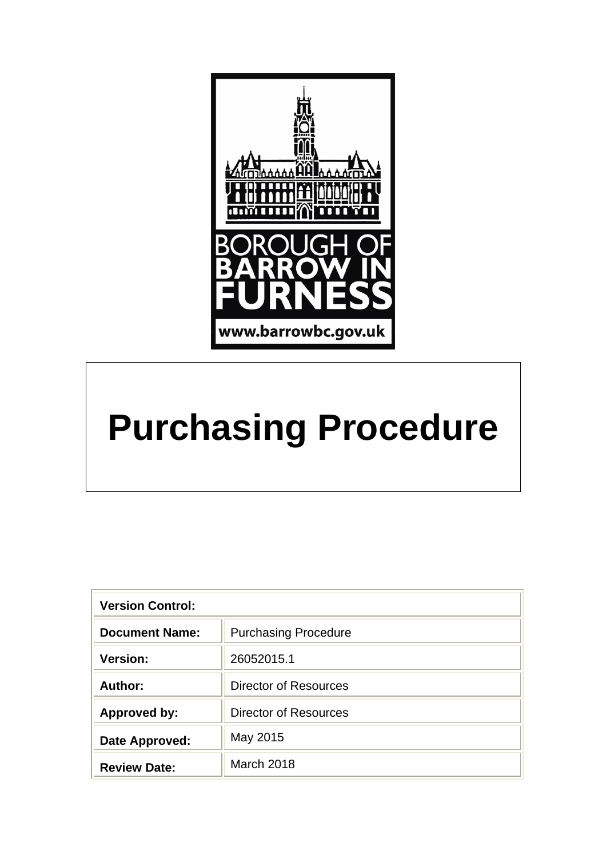

# **Purchasing Procedure**

| <b>Version Control:</b> |                              |  |
|-------------------------|------------------------------|--|
| <b>Document Name:</b>   | <b>Purchasing Procedure</b>  |  |
| <b>Version:</b>         | 26052015.1                   |  |
| Author:                 | Director of Resources        |  |
| <b>Approved by:</b>     | <b>Director of Resources</b> |  |
| Date Approved:          | May 2015                     |  |
| <b>Review Date:</b>     | March 2018                   |  |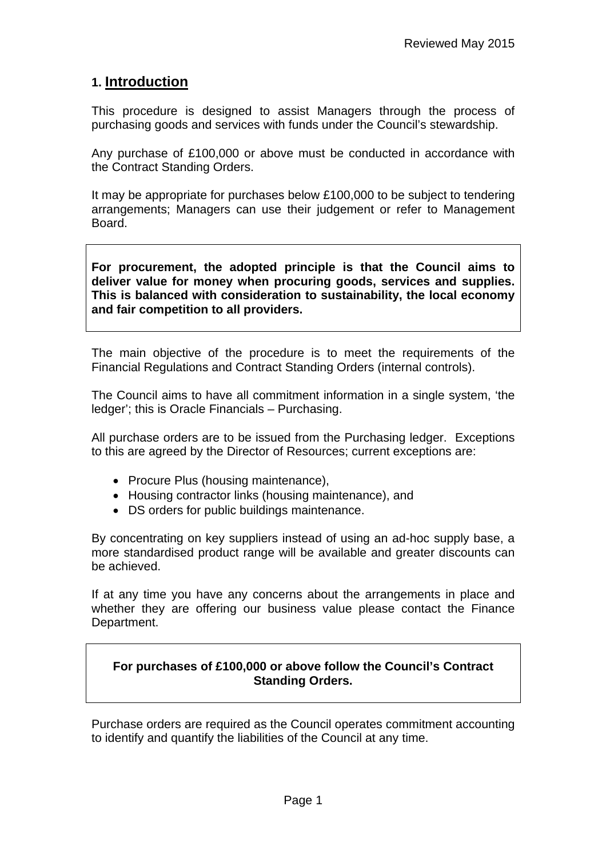## **1. Introduction**

This procedure is designed to assist Managers through the process of purchasing goods and services with funds under the Council's stewardship.

Any purchase of £100,000 or above must be conducted in accordance with the Contract Standing Orders.

It may be appropriate for purchases below £100,000 to be subject to tendering arrangements; Managers can use their judgement or refer to Management Board.

**For procurement, the adopted principle is that the Council aims to deliver value for money when procuring goods, services and supplies. This is balanced with consideration to sustainability, the local economy and fair competition to all providers.** 

The main objective of the procedure is to meet the requirements of the Financial Regulations and Contract Standing Orders (internal controls).

The Council aims to have all commitment information in a single system, 'the ledger'; this is Oracle Financials – Purchasing.

All purchase orders are to be issued from the Purchasing ledger. Exceptions to this are agreed by the Director of Resources; current exceptions are:

- Procure Plus (housing maintenance),
- Housing contractor links (housing maintenance), and
- DS orders for public buildings maintenance.

By concentrating on key suppliers instead of using an ad-hoc supply base, a more standardised product range will be available and greater discounts can be achieved.

If at any time you have any concerns about the arrangements in place and whether they are offering our business value please contact the Finance Department.

#### **For purchases of £100,000 or above follow the Council's Contract Standing Orders.**

Purchase orders are required as the Council operates commitment accounting to identify and quantify the liabilities of the Council at any time.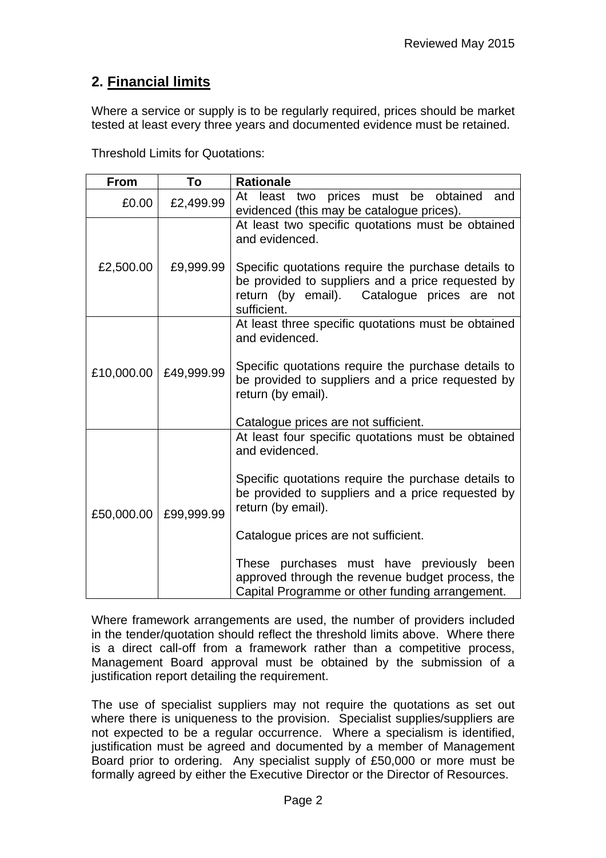# **2. Financial limits**

Where a service or supply is to be regularly required, prices should be market tested at least every three years and documented evidence must be retained.

Threshold Limits for Quotations:

| <b>From</b> | To         | <b>Rationale</b>                                                                                                                                                                                                                                                                                                                                                                                   |
|-------------|------------|----------------------------------------------------------------------------------------------------------------------------------------------------------------------------------------------------------------------------------------------------------------------------------------------------------------------------------------------------------------------------------------------------|
| £0.00       | £2,499.99  | At least<br>prices must be<br>obtained<br>and<br>two<br>evidenced (this may be catalogue prices).                                                                                                                                                                                                                                                                                                  |
| £2,500.00   | £9,999.99  | At least two specific quotations must be obtained<br>and evidenced.<br>Specific quotations require the purchase details to<br>be provided to suppliers and a price requested by<br>return (by email). Catalogue prices are not<br>sufficient.                                                                                                                                                      |
| £10,000.00  | £49,999.99 | At least three specific quotations must be obtained<br>and evidenced.<br>Specific quotations require the purchase details to<br>be provided to suppliers and a price requested by<br>return (by email).<br>Catalogue prices are not sufficient.                                                                                                                                                    |
| £50,000.00  | £99,999.99 | At least four specific quotations must be obtained<br>and evidenced.<br>Specific quotations require the purchase details to<br>be provided to suppliers and a price requested by<br>return (by email).<br>Catalogue prices are not sufficient.<br>These purchases must have previously been<br>approved through the revenue budget process, the<br>Capital Programme or other funding arrangement. |

Where framework arrangements are used, the number of providers included in the tender/quotation should reflect the threshold limits above. Where there is a direct call-off from a framework rather than a competitive process, Management Board approval must be obtained by the submission of a justification report detailing the requirement.

The use of specialist suppliers may not require the quotations as set out where there is uniqueness to the provision. Specialist supplies/suppliers are not expected to be a regular occurrence. Where a specialism is identified, justification must be agreed and documented by a member of Management Board prior to ordering. Any specialist supply of £50,000 or more must be formally agreed by either the Executive Director or the Director of Resources.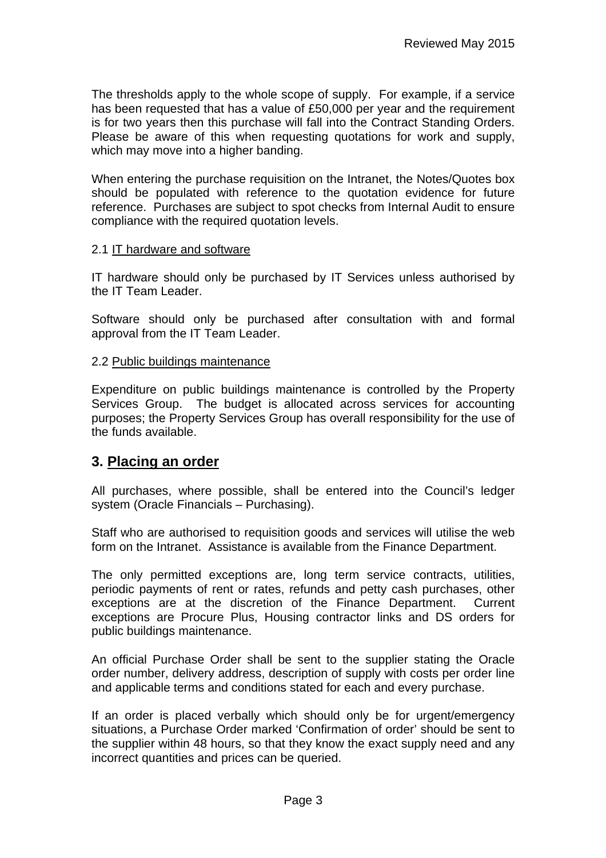The thresholds apply to the whole scope of supply. For example, if a service has been requested that has a value of £50,000 per year and the requirement is for two years then this purchase will fall into the Contract Standing Orders. Please be aware of this when requesting quotations for work and supply, which may move into a higher banding.

When entering the purchase requisition on the Intranet, the Notes/Quotes box should be populated with reference to the quotation evidence for future reference. Purchases are subject to spot checks from Internal Audit to ensure compliance with the required quotation levels.

#### 2.1 IT hardware and software

IT hardware should only be purchased by IT Services unless authorised by the IT Team Leader.

Software should only be purchased after consultation with and formal approval from the IT Team Leader.

#### 2.2 Public buildings maintenance

Expenditure on public buildings maintenance is controlled by the Property Services Group. The budget is allocated across services for accounting purposes; the Property Services Group has overall responsibility for the use of the funds available.

### **3. Placing an order**

All purchases, where possible, shall be entered into the Council's ledger system (Oracle Financials – Purchasing).

Staff who are authorised to requisition goods and services will utilise the web form on the Intranet. Assistance is available from the Finance Department.

The only permitted exceptions are, long term service contracts, utilities, periodic payments of rent or rates, refunds and petty cash purchases, other exceptions are at the discretion of the Finance Department. Current exceptions are Procure Plus, Housing contractor links and DS orders for public buildings maintenance.

An official Purchase Order shall be sent to the supplier stating the Oracle order number, delivery address, description of supply with costs per order line and applicable terms and conditions stated for each and every purchase.

If an order is placed verbally which should only be for urgent/emergency situations, a Purchase Order marked 'Confirmation of order' should be sent to the supplier within 48 hours, so that they know the exact supply need and any incorrect quantities and prices can be queried.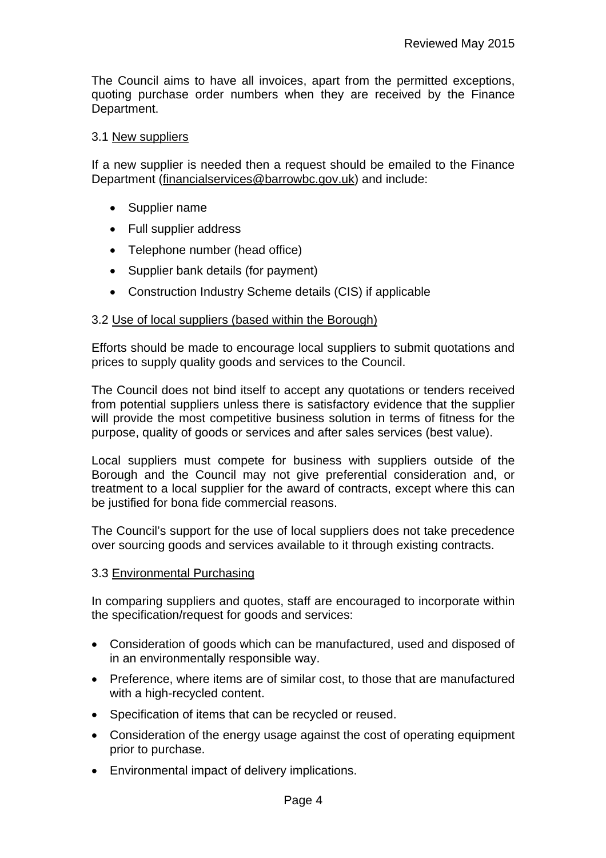The Council aims to have all invoices, apart from the permitted exceptions, quoting purchase order numbers when they are received by the Finance Department.

#### 3.1 New suppliers

If a new supplier is needed then a request should be emailed to the Finance Department (financialservices@barrowbc.gov.uk) and include:

- Supplier name
- Full supplier address
- Telephone number (head office)
- Supplier bank details (for payment)
- Construction Industry Scheme details (CIS) if applicable

#### 3.2 Use of local suppliers (based within the Borough)

Efforts should be made to encourage local suppliers to submit quotations and prices to supply quality goods and services to the Council.

The Council does not bind itself to accept any quotations or tenders received from potential suppliers unless there is satisfactory evidence that the supplier will provide the most competitive business solution in terms of fitness for the purpose, quality of goods or services and after sales services (best value).

Local suppliers must compete for business with suppliers outside of the Borough and the Council may not give preferential consideration and, or treatment to a local supplier for the award of contracts, except where this can be justified for bona fide commercial reasons.

The Council's support for the use of local suppliers does not take precedence over sourcing goods and services available to it through existing contracts.

#### 3.3 Environmental Purchasing

In comparing suppliers and quotes, staff are encouraged to incorporate within the specification/request for goods and services:

- Consideration of goods which can be manufactured, used and disposed of in an environmentally responsible way.
- Preference, where items are of similar cost, to those that are manufactured with a high-recycled content.
- Specification of items that can be recycled or reused.
- Consideration of the energy usage against the cost of operating equipment prior to purchase.
- Environmental impact of delivery implications.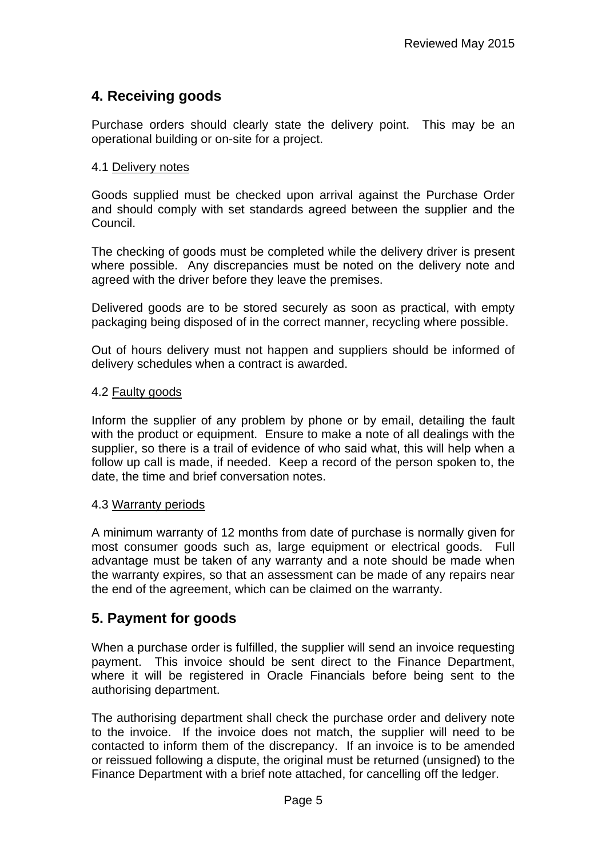# **4. Receiving goods**

Purchase orders should clearly state the delivery point. This may be an operational building or on-site for a project.

#### 4.1 Delivery notes

Goods supplied must be checked upon arrival against the Purchase Order and should comply with set standards agreed between the supplier and the Council.

The checking of goods must be completed while the delivery driver is present where possible. Any discrepancies must be noted on the delivery note and agreed with the driver before they leave the premises.

Delivered goods are to be stored securely as soon as practical, with empty packaging being disposed of in the correct manner, recycling where possible.

Out of hours delivery must not happen and suppliers should be informed of delivery schedules when a contract is awarded.

#### 4.2 Faulty goods

Inform the supplier of any problem by phone or by email, detailing the fault with the product or equipment. Ensure to make a note of all dealings with the supplier, so there is a trail of evidence of who said what, this will help when a follow up call is made, if needed. Keep a record of the person spoken to, the date, the time and brief conversation notes.

#### 4.3 Warranty periods

A minimum warranty of 12 months from date of purchase is normally given for most consumer goods such as, large equipment or electrical goods. Full advantage must be taken of any warranty and a note should be made when the warranty expires, so that an assessment can be made of any repairs near the end of the agreement, which can be claimed on the warranty.

## **5. Payment for goods**

When a purchase order is fulfilled, the supplier will send an invoice requesting payment. This invoice should be sent direct to the Finance Department, where it will be registered in Oracle Financials before being sent to the authorising department.

The authorising department shall check the purchase order and delivery note to the invoice. If the invoice does not match, the supplier will need to be contacted to inform them of the discrepancy. If an invoice is to be amended or reissued following a dispute, the original must be returned (unsigned) to the Finance Department with a brief note attached, for cancelling off the ledger.